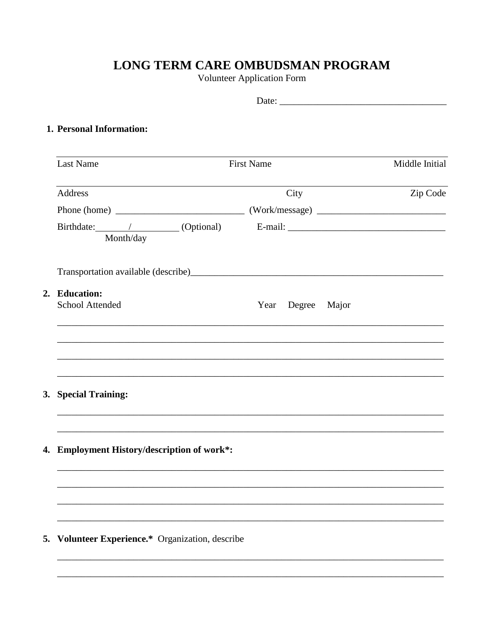## LONG TERM CARE OMBUDSMAN PROGRAM

**Volunteer Application Form** 

| 1. Personal Information:                         |                                                                                   |          |  |  |  |  |
|--------------------------------------------------|-----------------------------------------------------------------------------------|----------|--|--|--|--|
| <b>Last Name</b>                                 | <b>First Name</b>                                                                 |          |  |  |  |  |
| Address                                          | City                                                                              | Zip Code |  |  |  |  |
|                                                  |                                                                                   |          |  |  |  |  |
| Month/day                                        |                                                                                   |          |  |  |  |  |
|                                                  |                                                                                   |          |  |  |  |  |
| 2. Education:<br><b>School Attended</b>          | Year Degree Major                                                                 |          |  |  |  |  |
| 3. Special Training:                             |                                                                                   |          |  |  |  |  |
|                                                  | ,我们也不能在这里的时候,我们也不能在这里的时候,我们也不能会在这里的时候,我们也不能会在这里的时候,我们也不能会在这里的时候,我们也不能会在这里的时候,我们也不 |          |  |  |  |  |
| 4. Employment History/description of work*:      |                                                                                   |          |  |  |  |  |
|                                                  |                                                                                   |          |  |  |  |  |
| 5. Volunteer Experience.* Organization, describe |                                                                                   |          |  |  |  |  |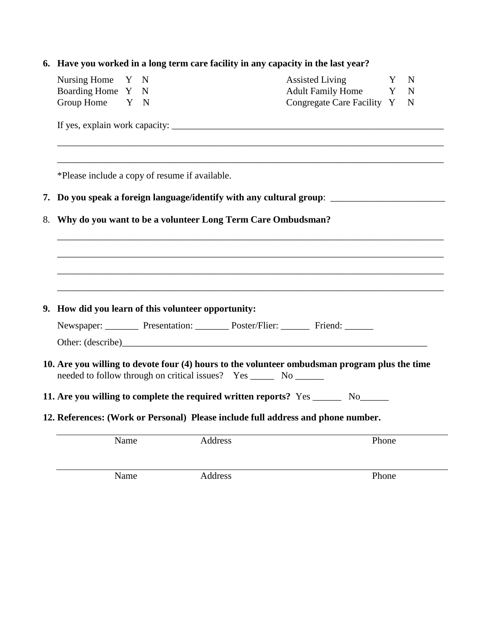|                                                                                    |                                                                                                      | 6. Have you worked in a long term care facility in any capacity in the last year? |  |         |                            |   |             |  |
|------------------------------------------------------------------------------------|------------------------------------------------------------------------------------------------------|-----------------------------------------------------------------------------------|--|---------|----------------------------|---|-------------|--|
|                                                                                    | Nursing Home Y N                                                                                     |                                                                                   |  |         | <b>Assisted Living</b>     | Y | $\mathbf N$ |  |
|                                                                                    | Boarding Home Y N                                                                                    |                                                                                   |  |         | Adult Family Home Y        |   | $\mathbf N$ |  |
|                                                                                    | Group Home Y N                                                                                       |                                                                                   |  |         | Congregate Care Facility Y |   | $\mathbf N$ |  |
|                                                                                    |                                                                                                      |                                                                                   |  |         |                            |   |             |  |
| *Please include a copy of resume if available.                                     |                                                                                                      |                                                                                   |  |         |                            |   |             |  |
|                                                                                    | 7. Do you speak a foreign language/identify with any cultural group: _______________________________ |                                                                                   |  |         |                            |   |             |  |
| Why do you want to be a volunteer Long Term Care Ombudsman?<br>8.                  |                                                                                                      |                                                                                   |  |         |                            |   |             |  |
|                                                                                    |                                                                                                      |                                                                                   |  |         |                            |   |             |  |
|                                                                                    |                                                                                                      |                                                                                   |  |         |                            |   |             |  |
|                                                                                    |                                                                                                      |                                                                                   |  |         |                            |   |             |  |
|                                                                                    |                                                                                                      |                                                                                   |  |         |                            |   |             |  |
|                                                                                    | 9. How did you learn of this volunteer opportunity:                                                  |                                                                                   |  |         |                            |   |             |  |
|                                                                                    | Newspaper: Presentation: Poster/Flier: Friend:                                                       |                                                                                   |  |         |                            |   |             |  |
|                                                                                    | Other: (describe)                                                                                    |                                                                                   |  |         |                            |   |             |  |
|                                                                                    | 10. Are you willing to devote four (4) hours to the volunteer ombudsman program plus the time        |                                                                                   |  |         |                            |   |             |  |
| 11. Are you willing to complete the required written reports? Yes _______ No______ |                                                                                                      |                                                                                   |  |         |                            |   |             |  |
|                                                                                    | 12. References: (Work or Personal) Please include full address and phone number.                     |                                                                                   |  |         |                            |   |             |  |
|                                                                                    |                                                                                                      | Name                                                                              |  | Address | Phone                      |   |             |  |
|                                                                                    |                                                                                                      |                                                                                   |  |         |                            |   |             |  |

Name Address Phone